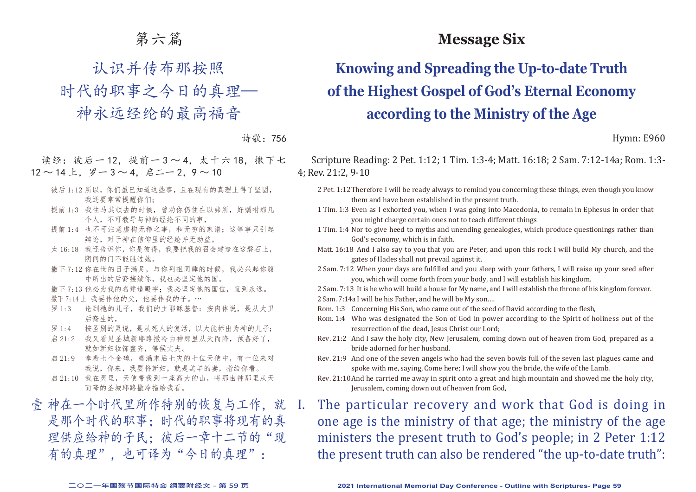## 第六篇

认识并传布那按照

时代的职事之今日的真理—

神永远经纶的最高福音

诗歌:756

读经: 彼后一12, 提前一3~4, 太十六18, 撒下七  $12 \sim 14$   $\pm$ ,  $\overline{z} - 3 \sim 4$ ,  $\overline{z} - 2$ ,  $9 \sim 10$ 

- 彼后 1:12 所以, 你们虽已知道这些事, 且在现有的真理上得了坚固, 我还要常常提醒你们;
- 提前1:3 我往马其顿去的时候, 曾劝你仍住在以弗所, 好嘱咐那几 个人,不可教导与神的经纶不同的事,
- 提前 1:4 也不可注意虚构无稽之事, 和无穷的家谱; 这等事只引起 辩论,对于神在信仰里的经纶并无助益。
- 太 16:18 我还告诉你,你是彼得,我要把我的召会建造在这磐石上, 阴间的门不能胜过她。
- 撒下 7:12 你在世的日子满足,与你列祖同睡的时候,我必兴起你腹 中所出的后裔接续你,我也必坚定他的国。

撒下 7:13 他必为我的名建造殿宇;我必坚定他的国位, 直到永远。 撒下 7:14 上 我要作他的父, 他要作我的子。…

- 罗 1:3 论到祂的儿子, 我们的主耶稣基督: 按肉体说, 是从大卫 后裔生的,
- 罗 1:4 按圣别的灵说,是从死人的复活,以大能标出为神的儿子;
- 启 21:2 我又看见圣城新耶路撒冷由神那里从天而降,预备好了, 就如新妇妆饰整齐,等候丈夫。
- 启 21:9 拿着七个金碗,盛满末后七灾的七位天使中,有一位来对 我说,你来,我要将新妇,就是羔羊的妻,指给你看。
- 启 21:10 我在灵里,天使带我到一座高大的山,将那由神那里从天 而降的圣城耶路撒冷指给我看。
- 壹 神在一个时代里所作特别的恢复与工作,就 是那个时代的职事;时代的职事将现有的真 理供应给神的子民: 彼后一章十二节的"现 有的真理"。也可译为"今日的真理":

## **Message Six**

# **Knowing and Spreading the Up-to-date Truth of the Highest Gospel of God's Eternal Economy according to the Ministry of the Age**

Hymn: E960

Scripture Reading: 2 Pet. 1:12; 1 Tim. 1:3-4; Matt. 16:18; 2 Sam. 7:12-14a; Rom. 1:3- 4; Rev. 21:2, 9-10

- 2 Pet. 1:12Therefore I will be ready always to remind you concerning these things, even though you know them and have been established in the present truth.
- 1 Tim. 1:3 Even as I exhorted you, when I was going into Macedonia, to remain in Ephesus in order that you might charge certain ones not to teach different things
- 1 Tim. 1:4 Nor to give heed to myths and unending genealogies, which produce questionings rather than God's economy, which is in faith.
- Matt. 16:18 And I also say to you that you are Peter, and upon this rock I will build My church, and the gates of Hades shall not prevail against it.
- 2 Sam. 7:12 When your days are fulfilled and you sleep with your fathers, I will raise up your seed after you, which will come forth from your body, and I will establish his kingdom.
- 2 Sam. 7:13 It is he who will build a house for My name, and I will establish the throne of his kingdom forever. 2 Sam. 7:14a I will be his Father, and he will be My son.…
- Rom. 1:3 Concerning His Son, who came out of the seed of David according to the flesh,
- Rom. 1:4 Who was designated the Son of God in power according to the Spirit of holiness out of the resurrection of the dead, Jesus Christ our Lord;
- Rev. 21:2 And I saw the holy city, New Jerusalem, coming down out of heaven from God, prepared as a bride adorned for her husband.
- Rev. 21:9 And one of the seven angels who had the seven bowls full of the seven last plagues came and spoke with me, saying, Come here; I will show you the bride, the wife of the Lamb.
- Rev. 21:10And he carried me away in spirit onto a great and high mountain and showed me the holy city, Jerusalem, coming down out of heaven from God,

I. The particular recovery and work that God is doing in one age is the ministry of that age; the ministry of the age ministers the present truth to God's people; in 2 Peter 1:12 the present truth can also be rendered "the up-to-date truth":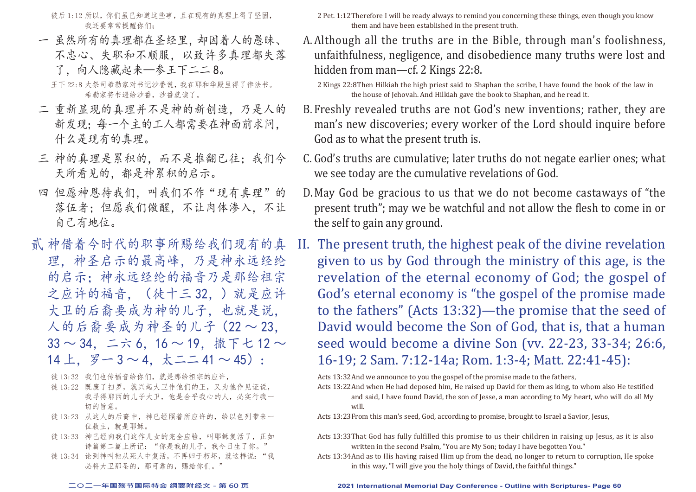彼后 1:12 所以, 你们虽已知道这些事, 且在现有的真理上得了坚固, 我还要常常提醒你们;

一 虽然所有的真理都在圣经里,却因着人的愚昧、 不忠心、失职和不顺服,以致许多真理都失落 了,向人隐藏起来—参王下二二 8。

王下 22:8 大祭司希勒家对书记沙番说,我在耶和华殿里得了律法书。 希勒家将书递给沙番,沙番就读了。

- 二 重新显现的真理并不是神的新创造,乃是人的 新发现;每一个主的工人都需要在神面前求问, 什么是现有的真理。
- 三 神的真理是累积的,而不是推翻已往;我们今 天所看见的,都是神累积的启示。
- 四 但愿神恩待我们,叫我们不作"现有真理"的 落伍者;但愿我们儆醒,不让肉体渗入,不让 自己有地位。
- 贰 神借着今时代的职事所赐给我们现有的真 理,神圣启示的最高峰,乃是神永远经纶 的启示;神永远经纶的福音乃是那给祖宗 之应许的福音,(徒十三 32,)就是应许 大卫的后裔要成为神的儿子,也就是说, 人的后裔要成为神圣的儿子(22 ~ 23, 33 ~ 34,二六 6,16 ~ 19,撒下七 12 ~ 14 上,  $\overline{y} - 3 \sim 4$ ,  $\overline{x} - 41 \sim 45$ ):
	- 徒 13:32 我们也传福音给你们,就是那给祖宗的应许,
	- 徒 13:22 既废了扫罗, 就兴起大卫作他们的王, 又为他作见证说, 我寻得耶西的儿子大卫,他是合乎我心的人,必实行我一 切的旨意。
	- 徒 13:23 从这人的后裔中,神已经照着所应许的,给以色列带来一 位救主,就是耶稣。
	- 徒 13:33 神已经向我们这作儿女的完全应验, 叫耶稣复活了, 正如 诗篇第二篇上所记: "你是我的儿子, 我今日生了你。
	- 徒 13:34 论到神叫祂从死人中复活,不再归于朽坏, 就这样说: "我 必将大卫那圣的,那可靠的,赐给你们。"

2 Pet. 1:12Therefore I will be ready always to remind you concerning these things, even though you know them and have been established in the present truth.

A.Although all the truths are in the Bible, through man's foolishness, unfaithfulness, negligence, and disobedience many truths were lost and hidden from man—cf. 2 Kings 22:8.

2 Kings 22:8Then Hilkiah the high priest said to Shaphan the scribe, I have found the book of the law in the house of Jehovah. And Hilkiah gave the book to Shaphan, and he read it.

- B. Freshly revealed truths are not God's new inventions; rather, they are man's new discoveries; every worker of the Lord should inquire before God as to what the present truth is.
- C. God's truths are cumulative; later truths do not negate earlier ones; what we see today are the cumulative revelations of God.
- D.May God be gracious to us that we do not become castaways of "the present truth"; may we be watchful and not allow the flesh to come in or the self to gain any ground.
- II. The present truth, the highest peak of the divine revelation given to us by God through the ministry of this age, is the revelation of the eternal economy of God; the gospel of God's eternal economy is "the gospel of the promise made to the fathers" (Acts 13:32)—the promise that the seed of David would become the Son of God, that is, that a human seed would become a divine Son (vv. 22-23, 33-34; 26:6, 16-19; 2 Sam. 7:12-14a; Rom. 1:3-4; Matt. 22:41-45):

Acts 13:32And we announce to you the gospel of the promise made to the fathers,

Acts 13:22And when He had deposed him, He raised up David for them as king, to whom also He testified and said, I have found David, the son of Jesse, a man according to My heart, who will do all My will.

Acts 13:23From this man's seed, God, according to promise, brought to Israel a Savior, Jesus,

- Acts 13:33That God has fully fulfilled this promise to us their children in raising up Jesus, as it is also written in the second Psalm, "You are My Son; today I have begotten You."
- Acts 13:34And as to His having raised Him up from the dead, no longer to return to corruption, He spoke in this way, "I will give you the holy things of David, the faithful things."

#### **二○二一年国殇节国际特会 纲要附经文 - 第 60 页 2021 International Memorial Day Conference - Outline with Scriptures- Page 60**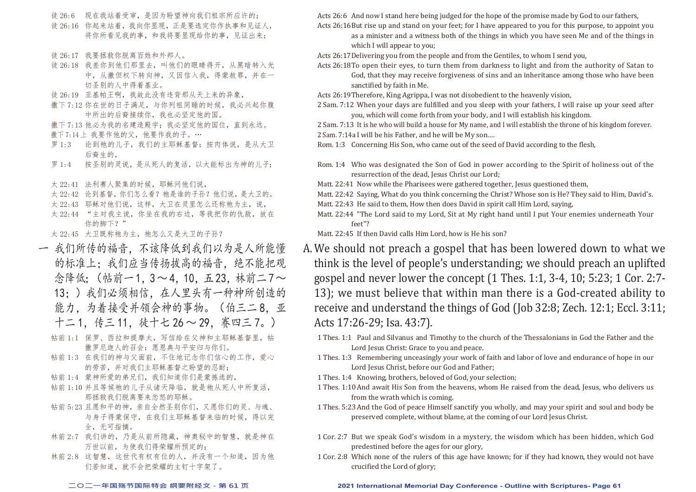- 徒 26:6 现在我站着受审,是因为盼望神向我们祖宗所应许的;
- 徒 26:16 你起来站着,我向你显现,正是要选定你作执事和见证人, 将你所看见我的事,和我将要显现给你的事,见证出来;
- 徒 26:17 我要拯救你脱离百姓和外邦人。
- 徒 26:18 我差你到他们那里去,叫他们的眼睛得开,从黑暗转入光 中,从撒但权下转向神,又因信入我,得蒙赦罪,并在一 切圣别的人中得着基业。
- 徒 26:19 亚基帕王啊,我故此没有违背那从天上来的异象,
- 撒下 7:12 你在世的日子满足, 与你列祖同睡的时候, 我必兴起你腹 中所出的后裔接续你,我也必坚定他的国。
- 撒下 7:13 他必为我的名建造殿宇;我必坚定他的国位,直到永远。 撒下 7:14 上 我要作他的父, 他要作我的子。…
- 罗 1:3 论到祂的儿子,我们的主耶稣基督:按肉体说,是从大卫 后裔生的,
- 罗 1:4 按圣别的灵说, 是从死人的复活, 以大能标出为神的儿子;
- 太 22:41 法利赛人聚集的时候, 耶稣问他们说,
- 太 22:42 论到基督,你们怎么看? 祂是谁的子孙? 他们说, 是大卫的。
- 太 22:43 耶稣对他们说,这样,大卫在灵里怎么还称祂为主,说,
- 太 22:44 "主对我主说,你坐在我的右边,等我把你的仇敌,放在 你的脚下?"

太 22:45 大卫既称祂为主, 祂怎么又是大卫的子孙?

- 一 我们所传的福音,不该降低到我们以为是人所能懂 的标准上;我们应当传扬拔高的福音,绝不能把观 念降低: (帖前一1,3~4,10,五23,林前二7~ 13;)我们必须相信,在人里头有一种神所创造的 能力,为着接受并领会神的事物。(伯三二8,亚 十二 1,传三 11,徒十七 26 ~ 29,赛四三 7。)
	- 帖前 1:1 保罗、西拉和提摩太,写信给在父神和主耶稣基督里,帖 撒罗尼迦人的召会:愿恩典与平安归与你们。
	- 帖前 1:3 在我们的神与父面前,不住地记念你们信心的工作,爱心 的劳苦,并对我们主耶稣基督之盼望的忍耐;
	- 帖前 1:4 蒙神所爱的弟兄们,我们知道你们是蒙拣选的,
	- 帖前 1:10 并且等候祂的儿子从诸天降临, 就是祂从死人中所复活, 那拯救我们脱离要来忿怒的耶稣。
	- 帖前 5:23 且愿和平的神,亲自全然圣别你们,又愿你们的灵、与魂、 与身子得蒙保守,在我们主耶稣基督来临的时候,得以完 全,无可指摘。
	- 林前 2:7 我们讲的,乃是从前所隐藏,神奥秘中的智慧,就是神在 万世以前,为使我们得荣耀所预定的;
	- 林前 2:8 这智慧,这世代有权有位的人,并没有一个知道,因为他 们若知道,就不会把荣耀的主钉十字架了。

Acts 26:6 And now I stand here being judged for the hope of the promise made by God to our fathers, Acts 26:16But rise up and stand on your feet; for I have appeared to you for this purpose, to appoint you

- as a minister and a witness both of the things in which you have seen Me and of the things in which I will appear to you;
- Acts 26:17Delivering you from the people and from the Gentiles, to whom I send you,
- Acts 26:18To open their eyes, to turn them from darkness to light and from the authority of Satan to God, that they may receive forgiveness of sins and an inheritance among those who have been sanctified by faith in Me.

Acts 26:19Therefore, King Agrippa, I was not disobedient to the heavenly vision,

- 2 Sam. 7:12 When your days are fulfilled and you sleep with your fathers, I will raise up your seed after you, which will come forth from your body, and I will establish his kingdom.
- 2 Sam. 7:13 It is he who will build a house for My name, and I will establish the throne of his kingdom forever. 2 Sam. 7:14a I will be his Father, and he will be My son.…

Rom. 1:3 Concerning His Son, who came out of the seed of David according to the flesh,

- Rom. 1:4 Who was designated the Son of God in power according to the Spirit of holiness out of the resurrection of the dead, Jesus Christ our Lord;
- Matt. 22:41 Now while the Pharisees were gathered together, Jesus questioned them,
- Matt. 22:42 Saying, What do you think concerning the Christ? Whose son is He? They said to Him, David's.
- Matt. 22:43 He said to them, How then does David in spirit call Him Lord, saying,
- Matt. 22:44 "The Lord said to my Lord, Sit at My right hand until I put Your enemies underneath Your feet"?

Matt. 22:45 If then David calls Him Lord, how is He his son?

- A.We should not preach a gospel that has been lowered down to what we think is the level of people's understanding; we should preach an uplifted gospel and never lower the concept (1 Thes. 1:1, 3-4, 10; 5:23; 1 Cor. 2:7- 13); we must believe that within man there is a God-created ability to receive and understand the things of God (Job 32:8; Zech. 12:1; Eccl. 3:11; Acts 17:26-29; Isa. 43:7).
	- 1 Thes. 1:1 Paul and Silvanus and Timothy to the church of the Thessalonians in God the Father and the Lord Jesus Christ: Grace to you and peace.
	- 1 Thes. 1:3 Remembering unceasingly your work of faith and labor of love and endurance of hope in our Lord Jesus Christ, before our God and Father:
	- 1 Thes. 1:4 Knowing, brothers, beloved of God, your selection;
	- 1 Thes. 1:10And await His Son from the heavens, whom He raised from the dead, Jesus, who delivers us from the wrath which is coming.
	- 1 Thes. 5:23And the God of peace Himself sanctify you wholly, and may your spirit and soul and body be preserved complete, without blame, at the coming of our Lord Jesus Christ.
	- 1 Cor. 2:7 But we speak God's wisdom in a mystery, the wisdom which has been hidden, which God predestined before the ages for our glory,
	- 1 Cor. 2:8 Which none of the rulers of this age have known; for if they had known, they would not have crucified the Lord of glory;

#### **二○二一年国殇节国际特会 纲要附经文 - 第 61 页 2021 International Memorial Day Conference - Outline with Scriptures- Page 61**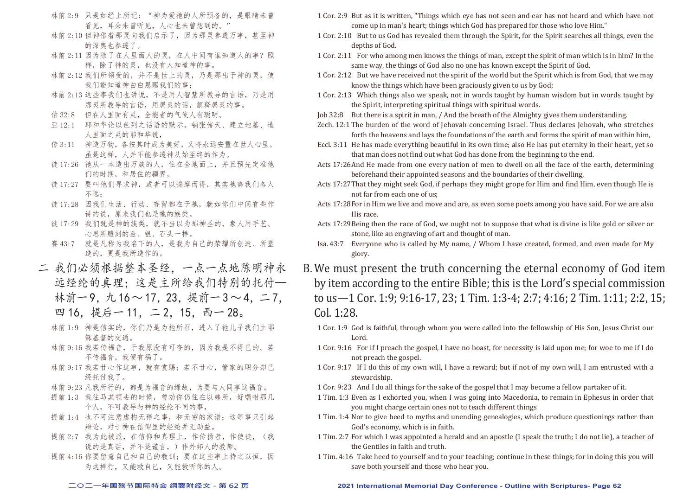- 林前 2:9 只是如经上所记: "神为爱祂的人所预备的, 是眼睛未曾 看见,耳朵未曾听见,人心也未曾想到的。"
- 林前 2:10 但神借着那灵向我们启示了,因为那灵参透万事,甚至神 的深奥也参透了。
- 林前 2:11 因为除了在人里面人的灵,在人中间有谁知道人的事?照 样,除了神的灵,也没有人知道神的事。
- 林前 2:12 我们所领受的,并不是世上的灵,乃是那出于神的灵,使 我们能知道神白白恩赐我们的事;
- 林前 2:13 这些事我们也讲说,不是用人智慧所教导的言语,乃是用 那灵所教导的言语,用属灵的话,解释属灵的事。
- 伯 32:8 但在人里面有灵,全能者的气使人有聪明。
- 亚 12:1 耶和华论以色列之话语的默示。铺张诸天、建立地基、造 人里面之灵的耶和华说,
- 传 3:11 神造万物,各按其时成为美好,又将永远安置在世人心里。 虽是这样,人并不能参透神从始至终的作为。
- 徒 17:26 祂从一本造出万族的人,住在全地面上,并且预先定准他 们的时期,和居住的疆界,
- 徒17:27 要叫他们寻求神,或者可以揣摩而得,其实祂离我们各人 不远;
- 徒 17:28 因我们生活、行动、存留都在于祂,就如你们中间有些作 诗的说,原来我们也是祂的族类。
- 徒 17:29 我们既是神的族类,就不当以为那神圣的,象人用手艺、 心思所雕刻的金、银、石头一样。
- 赛 43:7 就是凡称为我名下的人,是我为自己的荣耀所创造、所塑 造的,更是我所造作的。
- 二 我们必须根据整本圣经,一点一点地陈明神永 远经纶的真理;这是主所给我们特别的托付— 林前一 9, 九 16 ~ 17, 23, 提前一 3 ~ 4, 二 7, 四 16. 提后一 11. 二 2. 15. 西一 28。
	- 林前 1:9 神是信实的,你们乃是为祂所召,进入了祂儿子我们主耶 稣基督的交通。
	- 林前 9:16 我若传福音,于我原没有可夸的,因为我是不得已的。若 不传福音,我便有祸了。
	- 林前 9:17 我若甘心作这事,就有赏赐;若不甘心,管家的职分却已 经托付我了。
	- 林前 9:23 凡我所行的,都是为福音的缘故,为要与人同享这福音。
	- 提前 1:3 我往马其顿去的时候, 曾劝你仍住在以弗所, 好嘱咐那几 个人,不可教导与神的经纶不同的事,
	- 提前 1:4 也不可注意虚构无稽之事, 和无穷的家谱; 这等事只引起 辩论,对于神在信仰里的经纶并无助益。
	- 提前 2:7 我为此被派, 在信仰和真理上, 作传扬者, 作使徒, (我 说的是真话,并不是谎言,)作外邦人的教师。
	- 提前 4:16 你要留意自己和自己的教训;要在这些事上持之以恒,因 为这样行,又能救自己,又能救听你的人。
- 1 Cor. 2:9 But as it is written, "Things which eye has not seen and ear has not heard and which have not come up in man's heart; things which God has prepared for those who love Him."
- 1 Cor. 2:10 But to us God has revealed them through the Spirit, for the Spirit searches all things, even the depths of God.
- 1 Cor. 2:11 For who among men knows the things of man, except the spirit of man which is in him? In the same way, the things of God also no one has known except the Spirit of God.
- 1 Cor. 2:12 But we have received not the spirit of the world but the Spirit which is from God, that we may know the things which have been graciously given to us by God;
- 1 Cor. 2:13 Which things also we speak, not in words taught by human wisdom but in words taught by the Spirit, interpreting spiritual things with spiritual words.
- Job 32:8 But there is a spirit in man, / And the breath of the Almighty gives them understanding.
- Zech. 12:1 The burden of the word of Jehovah concerning Israel. Thus declares Jehovah, who stretches forth the heavens and lays the foundations of the earth and forms the spirit of man within him,
- Eccl. 3:11 He has made everything beautiful in its own time; also He has put eternity in their heart, yet so that man does not find out what God has done from the beginning to the end.
- Acts 17:26And He made from one every nation of men to dwell on all the face of the earth, determining beforehand their appointed seasons and the boundaries of their dwelling,
- Acts 17:27That they might seek God, if perhaps they might grope for Him and find Him, even though He is not far from each one of us;
- Acts 17:28For in Him we live and move and are, as even some poets among you have said, For we are also His race.
- Acts 17:29Being then the race of God, we ought not to suppose that what is divine is like gold or silver or stone, like an engraving of art and thought of man.
- Isa. 43:7 Everyone who is called by My name, / Whom I have created, formed, and even made for My glory.
- B.We must present the truth concerning the eternal economy of God item by item according to the entire Bible; this is the Lord's special commission to us—1 Cor. 1:9; 9:16-17, 23; 1 Tim. 1:3-4; 2:7; 4:16; 2 Tim. 1:11; 2:2, 15; Col. 1:28.
	- 1 Cor. 1:9 God is faithful, through whom you were called into the fellowship of His Son, Jesus Christ our Lord.
	- 1 Cor. 9:16 For if I preach the gospel, I have no boast, for necessity is laid upon me; for woe to me if I do not preach the gospel.
	- 1 Cor. 9:17 If I do this of my own will, I have a reward; but if not of my own will, I am entrusted with a stewardship.
	- 1 Cor. 9:23 And I do all things for the sake of the gospel that I may become a fellow partaker of it.
	- 1 Tim. 1:3 Even as I exhorted you, when I was going into Macedonia, to remain in Ephesus in order that you might charge certain ones not to teach different things
	- 1 Tim. 1:4 Nor to give heed to myths and unending genealogies, which produce questionings rather than God's economy, which is in faith.
	- 1 Tim. 2:7 For which I was appointed a herald and an apostle (I speak the truth; I do not lie), a teacher of the Gentiles in faith and truth.
	- 1 Tim. 4:16 Take heed to yourself and to your teaching; continue in these things; for in doing this you will save both yourself and those who hear you.

### **二○二一年国殇节国际特会 纲要附经文 - 第 62 页 2021 International Memorial Day Conference - Outline with Scriptures- Page 62**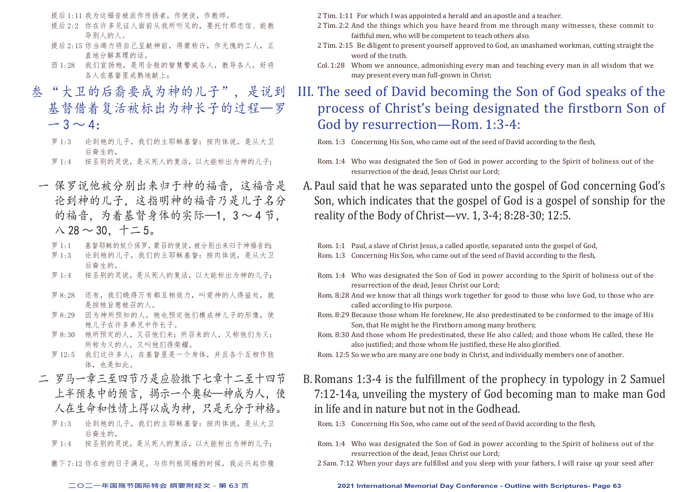提后 1:11 我为这福音被派作传扬者, 作使徒, 作教师。

- 提后 2:2 你在许多见证人面前从我所听见的,要托付那忠信、能教 导别人的人。
- 提后 2:15 你当竭力将自己呈献神前, 得蒙称许, 作无愧的工人, 正 直地分解真理的话。
- 西 1:28 我们宣扬祂,是用全般的智慧警戒各人,教导各人,好将 各人在基督里成熟地献上;
- 叁 "大卫的后裔要成为神的儿子",是说到 基督借着复活被标出为神长子的过程—罗  $-3 \sim 4$ 
	- 罗 1:3 论到祂的儿子,我们的主耶稣基督:按肉体说,是从大卫 后裔生的,
	- 罗 1:4 按圣别的灵说,是从死人的复活,以大能标出为神的儿子;
	- 一 保罗说他被分别出来归于神的福音,这福音是 论到神的儿子,这指明神的福音乃是儿子名分 的福音,为着基督身体的实际—1,3~4节,  $\wedge$  28  $\sim$  30,  $+$   $-$  5.
		- 罗 1:1 基督耶稣的奴仆保罗,蒙召的使徒,被分别出来归于神福音的;
		- 罗 1:3 论到祂的儿子, 我们的主耶稣基督: 按肉体说, 是从大卫 后裔生的,
		- 罗 1:4 按圣别的灵说,是从死人的复活,以大能标出为神的儿子;
		- 罗 8:28 还有,我们晓得万有都互相效力,叫爱神的人得益处,就 是按祂旨意被召的人。
		- 罗 8:29 因为神所预知的人,祂也预定他们模成神儿子的形像,使 祂儿子在许多弟兄中作长子。
		- 罗 8:30 祂所预定的人,又召他们来;所召来的人,又称他们为义; 所称为义的人,又叫他们得荣耀。
		- 罗 12:5 我们这许多人,在基督里是一个身体,并且各个互相作肢 体,也是如此。
	- 二 罗马一章三至四节乃是应验撒下七章十二至十四节 上半预表中的预言,揭示一个奥秘—神成为人,使 人在生命和性情上得以成为神,只是无分于神格。
		- 罗 1:3 论到祂的儿子, 我们的主耶稣基督: 按肉体说, 是从大卫 后裔生的,
		- 罗 1:4 按圣别的灵说, 是从死人的复活, 以大能标出为神的儿子;

撒下 7:12 你在世的日子满足,与你列祖同睡的时候,我必兴起你腹

2 Tim. 1:11 For which I was appointed a herald and an apostle and a teacher.

- 2 Tim. 2:2 And the things which you have heard from me through many witnesses, these commit to faithful men, who will be competent to teach others also.
- 2 Tim. 2:15 Be diligent to present yourself approved to God, an unashamed workman, cutting straight the word of the truth.
- Col. 1:28 Whom we announce, admonishing every man and teaching every man in all wisdom that we may present every man full-grown in Christ;
- III. The seed of David becoming the Son of God speaks of the process of Christ's being designated the firstborn Son of God by resurrection—Rom. 1:3-4:

Rom. 1:3 Concerning His Son, who came out of the seed of David according to the flesh,

- Rom. 1:4 Who was designated the Son of God in power according to the Spirit of holiness out of the resurrection of the dead, Jesus Christ our Lord:
- A.Paul said that he was separated unto the gospel of God concerning God's Son, which indicates that the gospel of God is a gospel of sonship for the reality of the Body of Christ—vv. 1, 3-4; 8:28-30; 12:5.

- Rom. 1:4 Who was designated the Son of God in power according to the Spirit of holiness out of the resurrection of the dead, Jesus Christ our Lord;
- Rom. 8:28 And we know that all things work together for good to those who love God, to those who are called according to His purpose.
- Rom. 8:29 Because those whom He foreknew, He also predestinated to be conformed to the image of His Son, that He might be the Firstborn among many brothers;
- Rom. 8:30 And those whom He predestinated, these He also called; and those whom He called, these He also justified; and those whom He justified, these He also glorified.

Rom. 12:5 So we who are many are one body in Christ, and individually members one of another.

B.Romans 1:3-4 is the fulfillment of the prophecy in typology in 2 Samuel 7:12-14a, unveiling the mystery of God becoming man to make man God in life and in nature but not in the Godhead.

Rom. 1:3 Concerning His Son, who came out of the seed of David according to the flesh,

- Rom. 1:4 Who was designated the Son of God in power according to the Spirit of holiness out of the resurrection of the dead, Jesus Christ our Lord:
- 2 Sam. 7:12 When your days are fulfilled and you sleep with your fathers, I will raise up your seed after

**二○二一年国殇节国际特会 纲要附经文 - 第 63 页 2021 International Memorial Day Conference - Outline with Scriptures- Page 63**

Rom. 1:1 Paul, a slave of Christ Jesus, a called apostle, separated unto the gospel of God,

Rom. 1:3 Concerning His Son, who came out of the seed of David according to the flesh,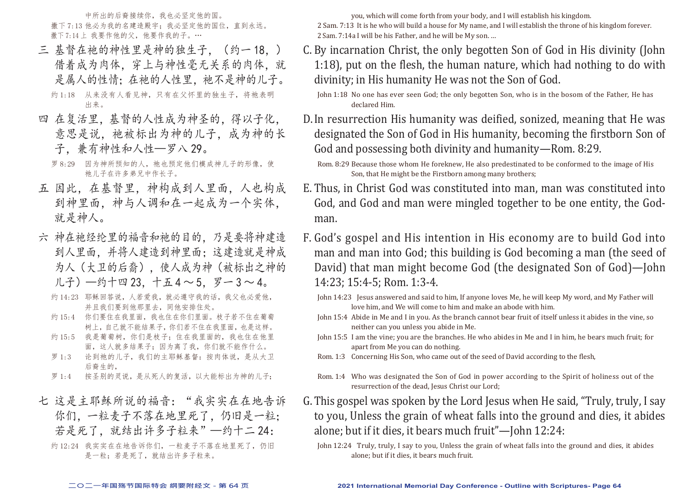中所出的后裔接续你,我也必坚定他的国。 撒下 7:13 他必为我的名建造殿宇;我必坚定他的国位, 直到永远。 撒下 7:14 上 我要作他的父, 他要作我的子。…

- 三 基督在祂的神性里是神的独生子. (约一18.) 借着成为肉体,穿上与神性毫无关系的肉体。就 是属人的性情;在祂的人性里,祂不是神的儿子。 约 1:18 从来没有人看见神,只有在父怀里的独生子,将祂表明 出来。
- 四 在复活里,基督的人性成为神圣的,得以子化, 意思是说, 祂被标出为神的儿子, 成为神的长 子,兼有神性和人性—罗八 29。
	- 罗 8:29 因为神所预知的人, 祂也预定他们模成神儿子的形像, 使 祂儿子在许多弟兄中作长子。
- 五 因此,在基督里,神构成到人里面,人也构成 到神里面,神与人调和在一起成为一个实体, 就是神人。
- 六 神在祂经纶里的福音和祂的目的,乃是要将神建造 到人里面,并将人建造到神里面;这建造就是神成 为人(大卫的后裔),使人成为神(被标出之神的 儿子)—约十四 23,十五 4 ~ 5,罗一 3 ~ 4。
	- 约 14:23 耶稣回答说, 人若爱我, 就必遵守我的话, 我父也必爱他, 并且我们要到他那里去,同他安排住处。
	- 约 15:4 你们要住在我里面,我也住在你们里面。枝子若不住在葡萄 树上,自己就不能结果子,你们若不住在我里面,也是这样。
	- 约 15:5 我是葡萄树,你们是枝子;住在我里面的,我也住在他里 面,这人就多结果子;因为离了我,你们就不能作什么。
	- 罗 1:3 论到祂的儿子,我们的主耶稣基督:按肉体说,是从大卫 后裔生的,
	- 罗 1:4 按圣别的灵说,是从死人的复活,以大能标出为神的儿子;
- 七 这是主耶稣所说的福音:"我实实在在地告诉 你们,一粒麦子不落在地里死了,仍旧是一粒; 若是死了,就结出许多子粒来"一约十二 24:

约 12:24 我实实在在地告诉你们,一粒麦子不落在地里死了,仍旧 是一粒;若是死了,就结出许多子粒来。

you, which will come forth from your body, and I will establish his kingdom.

2 Sam. 7:13 It is he who will build a house for My name, and I will establish the throne of his kingdom forever. 2 Sam. 7:14a I will be his Father, and he will be My son. …

C. By incarnation Christ, the only begotten Son of God in His divinity (John 1:18), put on the flesh, the human nature, which had nothing to do with divinity; in His humanity He was not the Son of God.

D.In resurrection His humanity was deified, sonized, meaning that He was designated the Son of God in His humanity, becoming the firstborn Son of God and possessing both divinity and humanity—Rom. 8:29.

- E. Thus, in Christ God was constituted into man, man was constituted into God, and God and man were mingled together to be one entity, the Godman.
- F. God's gospel and His intention in His economy are to build God into man and man into God; this building is God becoming a man (the seed of David) that man might become God (the designated Son of God)—John 14:23; 15:4-5; Rom. 1:3-4.
	- John 14:23 Jesus answered and said to him, If anyone loves Me, he will keep My word, and My Father will love him, and We will come to him and make an abode with him.
	- John 15:4 Abide in Me and I in you. As the branch cannot bear fruit of itself unless it abides in the vine, so neither can you unless you abide in Me.
	- John 15:5 I am the vine; you are the branches. He who abides in Me and I in him, he bears much fruit; for apart from Me you can do nothing.
	- Rom. 1:3 Concerning His Son, who came out of the seed of David according to the flesh,
	- Rom. 1:4 Who was designated the Son of God in power according to the Spirit of holiness out of the resurrection of the dead, Jesus Christ our Lord;
- G.This gospel was spoken by the Lord Jesus when He said, "Truly, truly, I say to you, Unless the grain of wheat falls into the ground and dies, it abides alone; but if it dies, it bears much fruit"—John 12:24:

John 1:18 No one has ever seen God; the only begotten Son, who is in the bosom of the Father, He has declared Him.

Rom. 8:29 Because those whom He foreknew, He also predestinated to be conformed to the image of His Son, that He might be the Firstborn among many brothers;

John 12:24 Truly, truly, I say to you, Unless the grain of wheat falls into the ground and dies, it abides alone; but if it dies, it bears much fruit.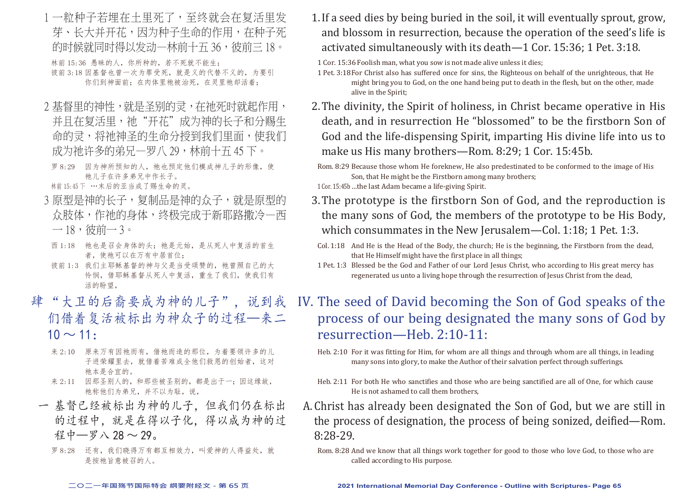- 1 一粒种子若埋在土里死了,至终就会在复活里发 芽、长大并开花,因为种子生命的作用,在种子死 的时候就同时得以发动一林前十五 36,彼前三 18。 林前 15:36 愚昧的人,你所种的,若不死就不能生; 彼前 3:18 因基督也曾一次为罪受死, 就是义的代替不义的, 为要引 你们到神面前;在肉体里祂被治死,在灵里祂却活着;
- 2 基督里的神性, 就是圣别的灵, 在祂死时就起作用, 并且在复活里,祂"开花"成为神的长子和分赐生 命的灵,将祂神圣的生命分授到我们里面,使我们 成为祂许多的弟兄一罗八 29,林前十五 45 下。
- 罗 8:29 因为神所预知的人, 祂也预定他们模成神儿子的形像, 使 祂儿子在许多弟兄中作长子。
- 林前15:45下 …末后的亚当成了赐生命的灵。
- 3 原型是神的长子,复制品是神的众子,就是原型的 众肢体,作祂的身体,终极完成于新耶路撒冷—西  $-18,$  彼前一 3。
	- 西 1:18 祂也是召会身体的头; 祂是元始, 是从死人中复活的首生 者, 使祂可以在万有中居首位;
- 彼前 1:3 我们主耶稣基督的神与父是当受颂赞的, 祂曾照自己的大 怜悯,借耶稣基督从死人中复活,重生了我们,使我们有 活的盼望,
- 肆 "大卫的后裔要成为神的儿子",说到我 们借着复活被标出为神众子的过程—来二  $10 \sim 11$ :
	- 来 2:10 原来万有因祂而有,借祂而造的那位,为着要领许多的儿 子进荣耀里去,就借着苦难成全他们救恩的创始者,这对 祂本是合宜的。
	- 来 2:11 因那圣别人的,和那些被圣别的,都是出于一;因这缘故, 祂称他们为弟兄,并不以为耻,说,
	- 一 基督已经被标出为神的儿子,但我们仍在标出 的过程中,就是在得以子化,得以成为神的过 程中—罗八 28 ~ 29。
		- 罗 8:28 还有, 我们晓得万有都互相效力, 叫爱神的人得益处, 就 是按祂旨意被召的人。

1.If a seed dies by being buried in the soil, it will eventually sprout, grow, and blossom in resurrection, because the operation of the seed's life is activated simultaneously with its death—1 Cor. 15:36; 1 Pet. 3:18.

1 Cor. 15:36 Foolish man, what you sow is not made alive unless it dies;

1 Pet. 3:18For Christ also has suffered once for sins, the Righteous on behalf of the unrighteous, that He might bring you to God, on the one hand being put to death in the flesh, but on the other, made alive in the Spirit;

2.The divinity, the Spirit of holiness, in Christ became operative in His death, and in resurrection He "blossomed" to be the firstborn Son of God and the life-dispensing Spirit, imparting His divine life into us to make us His many brothers—Rom. 8:29; 1 Cor. 15:45b.

- 1 Cor. 15:45b…the last Adam became a life-giving Spirit.
- 3.The prototype is the firstborn Son of God, and the reproduction is the many sons of God, the members of the prototype to be His Body, which consummates in the New Jerusalem—Col. 1:18; 1 Pet. 1:3.
- Col. 1:18 And He is the Head of the Body, the church; He is the beginning, the Firstborn from the dead, that He Himself might have the first place in all things;
- 1 Pet. 1:3 Blessed be the God and Father of our Lord Jesus Christ, who according to His great mercy has regenerated us unto a living hope through the resurrection of Jesus Christ from the dead,

## IV. The seed of David becoming the Son of God speaks of the process of our being designated the many sons of God by resurrection—Heb. 2:10-11:

- Heb. 2:10 For it was fitting for Him, for whom are all things and through whom are all things, in leading many sons into glory, to make the Author of their salvation perfect through sufferings.
- Heb. 2:11 For both He who sanctifies and those who are being sanctified are all of One, for which cause He is not ashamed to call them brothers,
- A.Christ has already been designated the Son of God, but we are still in the process of designation, the process of being sonized, deified—Rom. 8:28-29.
	- Rom. 8:28 And we know that all things work together for good to those who love God, to those who are called according to His purpose.

Rom. 8:29 Because those whom He foreknew, He also predestinated to be conformed to the image of His Son, that He might be the Firstborn among many brothers;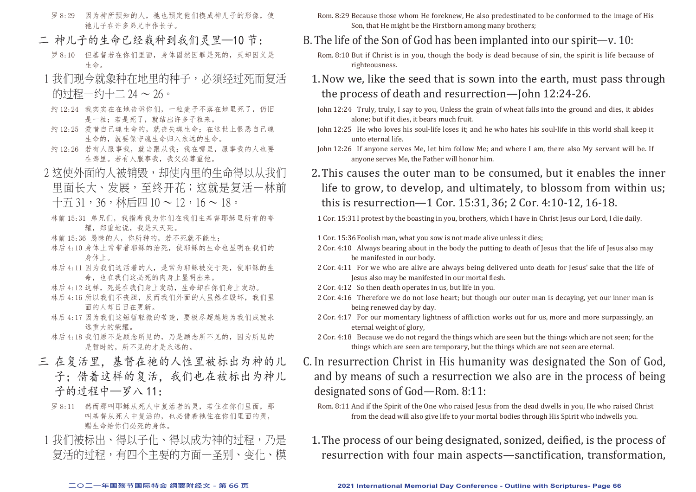- 罗 8:29 因为神所预知的人, 祂也预定他们模成神儿子的形像, 使 祂儿子在许多弟兄中作长子。
- 二 神儿子的生命已经栽种到我们灵里—10 节:
	- 罗 8:10 但基督若在你们里面, 身体固然因罪是死的, 灵却因义是 生命。
- 1 我们现今就象种在地里的种子, 必须经过死而复活 的过程—约十二  $24 \sim 26$ 。
- 约 12:24 我实实在在地告诉你们,一粒麦子不落在地里死了,仍旧 是一粒;若是死了,就结出许多子粒来。
- 约 12:25 爱惜自己魂生命的, 就丧失魂生命; 在这世上恨恶自己魂 生命的,就要保守魂生命归入永远的生命。
- 约 12:26 若有人服事我, 就当跟从我; 我在哪里, 服事我的人也要 在哪里。若有人服事我,我父必尊重他。
- 2 这使外面的人被销毁,却使内里的生命得以从我们 里面长大、发展,至终开花;这就是复活—林前 十五 31,36,林后四 10 ~ 12,16 ~ 18。
	- 林前 15:31 弟兄们,我指着我为你们在我们主基督耶稣里所有的夸 耀,郑重地说,我是天天死。
	- 林前 15:36 愚昧的人,你所种的,若不死就不能生;
	- 林后 4:10 身体上常带着耶稣的治死,使耶稣的生命也显明在我们的 身体上。
	- 林后 4:11 因为我们这活着的人,是常为耶稣被交于死,使耶稣的生 命,也在我们这必死的肉身上显明出来。
	- 林后 4:12 这样,死是在我们身上发动,生命却在你们身上发动。
	- 林后 4:16 所以我们不丧胆,反而我们外面的人虽然在毁坏,我们里 面的人却日日在更新。
	- 林后 4:17 因为我们这短暂轻微的苦楚,要极尽超越地为我们成就永 远重大的荣耀。
	- 林后 4:18 我们原不是顾念所见的,乃是顾念所不见的,因为所见的 是暂时的,所不见的才是永远的。
- 三 在复活里, 基督在祂的人性里被标出为神的儿 子:借着这样的复活,我们也在被标出为神儿 子的过程中—罗八 11:
	- 罗 8:11 然而那叫耶稣从死人中复活者的灵,若住在你们里面,那 叫基督从死人中复活的,也必借着祂住在你们里面的灵, 赐生命给你们必死的身体。
	- 1 我们被标出、得以子化、得以成为神的过程,乃是 复活的过程,有四个主要的方面—圣别、变化、模
- Rom. 8:29 Because those whom He foreknew, He also predestinated to be conformed to the image of His Son, that He might be the Firstborn among many brothers;
- B.The life of the Son of God has been implanted into our spirit—v. 10:
	- Rom. 8:10 But if Christ is in you, though the body is dead because of sin, the spirit is life because of righteousness.
	- 1.Now we, like the seed that is sown into the earth, must pass through the process of death and resurrection—John 12:24-26.
	- John 12:24 Truly, truly, I say to you, Unless the grain of wheat falls into the ground and dies, it abides alone; but if it dies, it bears much fruit.
	- John 12:25 He who loves his soul-life loses it; and he who hates his soul-life in this world shall keep it unto eternal life.
	- John 12:26 If anyone serves Me, let him follow Me; and where I am, there also My servant will be. If anyone serves Me, the Father will honor him.
	- 2.This causes the outer man to be consumed, but it enables the inner life to grow, to develop, and ultimately, to blossom from within us; this is resurrection—1 Cor. 15:31, 36; 2 Cor. 4:10-12, 16-18.
	- 1 Cor. 15:31 I protest by the boasting in you, brothers, which I have in Christ Jesus our Lord, I die daily.
	- 1 Cor. 15:36 Foolish man, what you sow is not made alive unless it dies;
	- 2 Cor. 4:10 Always bearing about in the body the putting to death of Jesus that the life of Jesus also may be manifested in our body.
	- 2 Cor. 4:11 For we who are alive are always being delivered unto death for Jesus' sake that the life of Jesus also may be manifested in our mortal flesh.
	- 2 Cor. 4:12 So then death operates in us, but life in you.
	- 2 Cor. 4:16 Therefore we do not lose heart; but though our outer man is decaying, yet our inner man is being renewed day by day.
	- 2 Cor. 4:17 For our momentary lightness of affliction works out for us, more and more surpassingly, an eternal weight of glory,
	- 2 Cor. 4:18 Because we do not regard the things which are seen but the things which are not seen; for the things which are seen are temporary, but the things which are not seen are eternal.
- C. In resurrection Christ in His humanity was designated the Son of God, and by means of such a resurrection we also are in the process of being designated sons of God—Rom. 8:11:
	- Rom. 8:11 And if the Spirit of the One who raised Jesus from the dead dwells in you, He who raised Christ from the dead will also give life to your mortal bodies through His Spirit who indwells you.
	- 1.The process of our being designated, sonized, deified, is the process of resurrection with four main aspects—sanctification, transformation,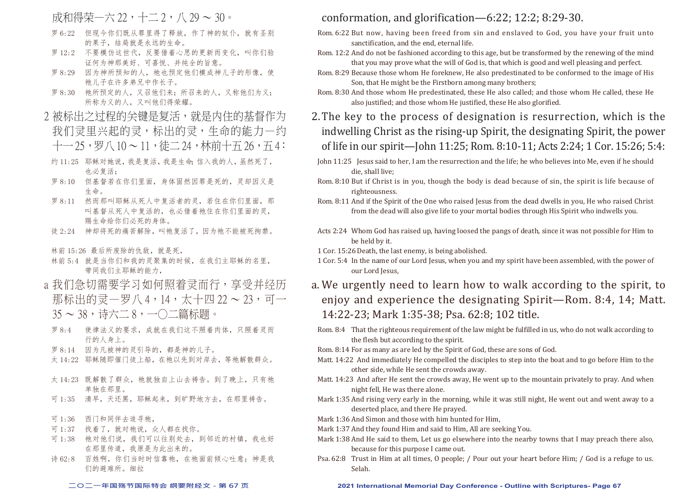### 成和得荣一六 22, 十二 2, 八 29 ~ 30。

- 罗 6:22 但现今你们既从罪里得了释放,作了神的奴仆,就有圣别 的果子,结局就是永远的生命。
- 罗 12:2 不要模仿这世代,反要借着心思的更新而变化,叫你们验 证何为神那美好、可喜悦、并纯全的旨意。
- 罗 8:29 因为神所预知的人,祂也预定他们模成神儿子的形像,使 祂儿子在许多弟兄中作长子。
- 罗 8:30 祂所预定的人,又召他们来;所召来的人,又称他们为义; 所称为义的人,又叫他们得荣耀。
- 2 被标出之过程的关键是复活, 就是内住的基督作为 我们灵里兴起的灵,标出的灵,生命的能力—约 十一 25, 罗八 10 ~ 11, 徒二 24, 林前十五 26, 五 4:
	- 约 11:25 耶稣对她说,我是复活,我是生命;信入我的人,虽然死了, 也必复活;
	- 罗 8:10 但基督若在你们里面,身体固然因罪是死的,灵却因义是 生命。
	- 罗 8:11 然而那叫耶稣从死人中复活者的灵,若住在你们里面,那 叫基督从死人中复活的,也必借着祂住在你们里面的灵, 赐生命给你们必死的身体。
	- 徒 2:24 神却将死的痛苦解除,叫祂复活了,因为祂不能被死拘禁。

林前 15:26 最后所废除的仇敌,就是死,

- 林前 5:4 就是当你们和我的灵聚集的时候,在我们主耶稣的名里, 带同我们主耶稣的能力,
- a 我们急切需要学习如何照着灵而行,享受并经历 那标出的灵—罗八 4,14,太十四 22 ~ 23,可一 35 ~ 38,诗六二 8,一○二篇标题。
	- 罗 8:4 使律法义的要求,成就在我们这不照着肉体,只照着灵而 行的人身上。
- 罗 8:14 因为凡被神的灵引导的,都是神的儿子。
- 太 14:22 耶稣随即催门徒上船,在祂以先到对岸去,等祂解散群众。
- 太 14:23 既解散了群众, 祂就独自上山去祷告。到了晚上, 只有祂 单独在那里。
- 可 1:35 清早,天还黑,耶稣起来,到旷野地方去,在那里祷告。
- 可 1:36 西门和同伴去追寻祂,
- 可 1:37 找着了,就对祂说,众人都在找你。
- 可 1:38 祂对他们说,我们可以往别处去,到邻近的村镇,我也好 在那里传道,我原是为此出来的。
- 诗 62:8 百姓啊, 你们当时时信靠祂, 在祂面前倾心叶意;神是我 们的避难所。细拉

### conformation, and glorification—6:22; 12:2; 8:29-30.

- Rom. 6:22 But now, having been freed from sin and enslaved to God, you have your fruit unto sanctification, and the end, eternal life.
- Rom. 12:2 And do not be fashioned according to this age, but be transformed by the renewing of the mind that you may prove what the will of God is, that which is good and well pleasing and perfect.
- Rom. 8:29 Because those whom He foreknew, He also predestinated to be conformed to the image of His Son, that He might be the Firstborn among many brothers;
- Rom. 8:30 And those whom He predestinated, these He also called; and those whom He called, these He also justified; and those whom He justified, these He also glorified.
- 2.The key to the process of designation is resurrection, which is the indwelling Christ as the rising-up Spirit, the designating Spirit, the power of life in our spirit—John 11:25; Rom. 8:10-11; Acts 2:24; 1 Cor. 15:26; 5:4:
- John 11:25 Jesus said to her, I am the resurrection and the life; he who believes into Me, even if he should die, shall live;
- Rom. 8:10 But if Christ is in you, though the body is dead because of sin, the spirit is life because of righteousness.
- Rom. 8:11 And if the Spirit of the One who raised Jesus from the dead dwells in you, He who raised Christ from the dead will also give life to your mortal bodies through His Spirit who indwells you.
- Acts 2:24 Whom God has raised up, having loosed the pangs of death, since it was not possible for Him to be held by it.
- 1 Cor. 15:26Death, the last enemy, is being abolished.
- 1 Cor. 5:4 In the name of our Lord Jesus, when you and my spirit have been assembled, with the power of our Lord Jesus,
- a. We urgently need to learn how to walk according to the spirit, to enjoy and experience the designating Spirit—Rom. 8:4, 14; Matt. 14:22-23; Mark 1:35-38; Psa. 62:8; 102 title.
- Rom. 8:4 That the righteous requirement of the law might be fulfilled in us, who do not walk according to the flesh but according to the spirit.
- Rom. 8:14 For as many as are led by the Spirit of God, these are sons of God.
- Matt. 14:22 And immediately He compelled the disciples to step into the boat and to go before Him to the other side, while He sent the crowds away.
- Matt. 14:23 And after He sent the crowds away, He went up to the mountain privately to pray. And when night fell, He was there alone.
- Mark 1:35 And rising very early in the morning, while it was still night, He went out and went away to a deserted place, and there He prayed.
- Mark 1:36 And Simon and those with him hunted for Him,
- Mark 1:37 And they found Him and said to Him, All are seeking You.
- Mark 1:38 And He said to them, Let us go elsewhere into the nearby towns that I may preach there also, because for this purpose I came out.
- Psa. 62:8 Trust in Him at all times, O people; / Pour out your heart before Him; / God is a refuge to us. Selah.

### **二○二一年国殇节国际特会 纲要附经文 - 第 67 页 2021 International Memorial Day Conference - Outline with Scriptures- Page 67**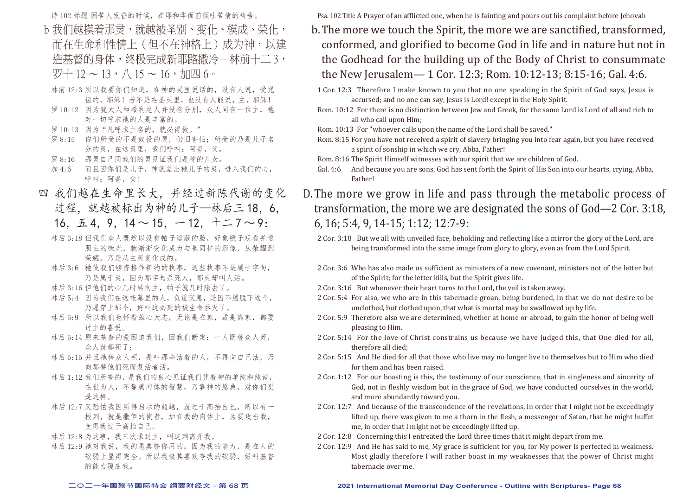诗 102 标题 困苦人发昏的时候, 在耶和华面前倾叶苦情的祷告。

- b 我们越摸着那灵,就越被圣别、变化、模成、荣化, 而在生命和性情上(但不在神格上)成为神,以建 造基督的身体,终极完成新耶路撒冷—林前十二 3, 罗十 $12 \sim 13, \Lambda 15 \sim 16, \overline{\Lambda}$
- 林前 12:3 所以我要你们知道,在神的灵里说话的,没有人说,受咒 诅的,耶稣!若不是在圣灵里,也没有人能说,主,耶稣!
- 罗 10:12 因为犹太人和希利尼人并没有分别, 众人同有一位主, 祂 对一切呼求祂的人是丰富的。
- 罗 10:13 因为"凡呼求主名的, 就必得救。"
- 罗 8:15 你们所受的不是奴役的灵, 仍旧害怕; 所受的乃是儿子名 分的灵,在这灵里,我们呼叫:阿爸,父。
- 罗 8:16 那灵自己同我们的灵见证我们是神的儿女。
- 加 4:6 而且因你们是儿子,神就差出祂儿子的灵,进入我们的心, 呼叫:阿爸,父!
- 四 我们越在生命里长大,并经过新陈代谢的变化 过程,就越被标出为神的儿子—林后三 18,6, 16,  $\overline{L}$  4, 9, 14  $\sim$  15,  $-$  12,  $+$   $\leq$  7  $\sim$  9:
	- 林后 3:18 但我们众人既然以没有帕子遮蔽的脸,好象镜子观看并返 照主的荣光,就渐渐变化成为与祂同样的形像,从荣耀到 荣耀,乃是从主灵变化成的。
	- 林后 3:6 祂使我们够资格作新约的执事,这些执事不是属于字句, 乃是属于灵,因为那字句杀死人,那灵却叫人活。
	- 林后 3:16 但他们的心几时转向主,帕子就几时除去了。
	- 林后 5:4 因为我们在这帐幕里的人,负重叹息,是因不愿脱下这个, 乃愿穿上那个,好叫这必死的被生命吞灭了。
	- 林后 5:9 所以我们也怀着雄心大志,无论是在家,或是离家,都要 讨主的喜悦。
	- 林后 5:14 原来基督的爱困迫我们,因我们断定:一人既替众人死, 众人就都死了;
	- 林后 5:15 并且祂替众人死, 是叫那些活着的人, 不再向自己活, 乃 向那替他们死而复活者活。
	- 林后 1:12 我们所夸的,是我们的良心见证我们凭着神的单纯和纯诚, 在世为人,不靠属肉体的智慧,乃靠神的恩典,对你们更 是这样。
	- 林后 12:7 又恐怕我因所得启示的超越,就过于高抬自己,所以有一 根刺,就是撒但的使者,加在我的肉体上,为要攻击我, 免得我过于高抬自己。
	- 林后 12:8 为这事,我三次求过主,叫这刺离开我。
	- 林后 12:9 祂对我说,我的恩典够你用的,因为我的能力,是在人的 软弱上显得完全。所以我极其喜欢夸我的软弱,好叫基督 的能力覆庇我。

Psa. 102 Title A Prayer of an afflicted one, when he is fainting and pours out his complaint before Jehovah

- b.The more we touch the Spirit, the more we are sanctified, transformed, conformed, and glorified to become God in life and in nature but not in the Godhead for the building up of the Body of Christ to consummate the New Jerusalem— 1 Cor. 12:3; Rom. 10:12-13; 8:15-16; Gal. 4:6.
	- 1 Cor. 12:3 Therefore I make known to you that no one speaking in the Spirit of God says, Jesus is accursed; and no one can say, Jesus is Lord! except in the Holy Spirit.
	- Rom. 10:12 For there is no distinction between Jew and Greek, for the same Lord is Lord of all and rich to all who call upon Him;
	- Rom. 10:13 For "whoever calls upon the name of the Lord shall be saved."
	- Rom. 8:15 For you have not received a spirit of slavery bringing you into fear again, but you have received a spirit of sonship in which we cry, Abba, Father!
	- Rom. 8:16 The Spirit Himself witnesses with our spirit that we are children of God.
	- Gal. 4:6 And because you are sons, God has sent forth the Spirit of His Son into our hearts, crying, Abba, Father!
- D.The more we grow in life and pass through the metabolic process of transformation, the more we are designated the sons of God—2 Cor. 3:18, 6, 16; 5:4, 9, 14-15; 1:12; 12:7-9:
	- 2 Cor. 3:18 But we all with unveiled face, beholding and reflecting like a mirror the glory of the Lord, are being transformed into the same image from glory to glory, even as from the Lord Spirit.
	- 2 Cor. 3:6 Who has also made us sufficient as ministers of a new covenant, ministers not of the letter but of the Spirit; for the letter kills, but the Spirit gives life.
	- 2 Cor. 3:16 But whenever their heart turns to the Lord, the veil is taken away.
	- 2 Cor. 5:4 For also, we who are in this tabernacle groan, being burdened, in that we do not desire to be unclothed, but clothed upon, that what is mortal may be swallowed up by life.
	- 2 Cor. 5:9 Therefore also we are determined, whether at home or abroad, to gain the honor of being well pleasing to Him.
	- 2 Cor. 5:14 For the love of Christ constrains us because we have judged this, that One died for all, therefore all died;
	- 2 Cor. 5:15 And He died for all that those who live may no longer live to themselves but to Him who died for them and has been raised.
	- 2 Cor. 1:12 For our boasting is this, the testimony of our conscience, that in singleness and sincerity of God, not in fleshly wisdom but in the grace of God, we have conducted ourselves in the world, and more abundantly toward you.
	- 2 Cor. 12:7 And because of the transcendence of the revelations, in order that I might not be exceedingly lifted up, there was given to me a thorn in the flesh, a messenger of Satan, that he might buffet me, in order that I might not be exceedingly lifted up.
	- 2 Cor. 12:8 Concerning this I entreated the Lord three times that it might depart from me.
	- 2 Cor. 12:9 And He has said to me, My grace is sufficient for you, for My power is perfected in weakness. Most gladly therefore I will rather boast in my weaknesses that the power of Christ might tabernacle over me.

#### **二○二一年国殇节国际特会 纲要附经文 - 第 68 页 2021 International Memorial Day Conference - Outline with Scriptures- Page 68**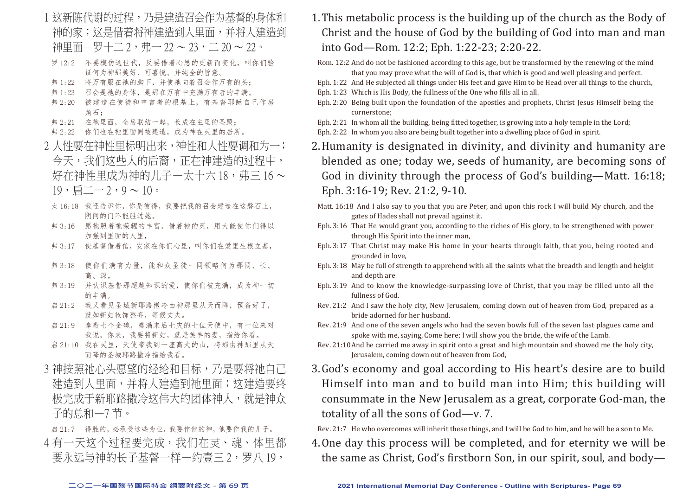- 1 这新陈代谢的过程,乃是建造召会作为基督的身体和 神的家;这是借着将神建造到人里面,并将人建造到 神里面—罗十二 2, 弗— 22 ~ 23, 二 20 ~ 22。
- 罗 12:2 不要模仿这世代,反要借着心思的更新而变化,叫你们验 证何为神那美好、可喜悦、并纯全的旨意。
- 弗 1:22 将万有服在祂的脚下,并使祂向着召会作万有的头;
- 弗 1:23 召会是祂的身体,是那在万有中充满万有者的丰满。
- 弗 2:20 被建造在使徒和申言者的根基上,有基督耶稣自己作房 角石;
- 弗 2:21 在祂里面,全房联结一起,长成在主里的圣殿;
- 弗 2:22 你们也在祂里面同被建造,成为神在灵里的居所。
- 2 人性要在神性里标明出来,神性和人性要调和为一; 今天,我们这些人的后裔,正在神建造的过程中, 好在神性里成为神的儿子—太十六 18,弗三 16~  $19, \overline{$ 
	- 太 16:18 我还告诉你,你是彼得,我要把我的召会建造在这磐石上, 阴间的门不能胜过她。
	- 弗 3:16 愿祂照着祂荣耀的丰富,借着祂的灵,用大能使你们得以 加强到里面的人里,
	- 弗 3:17 使基督借着信,安家在你们心里,叫你们在爱里生根立基,
	- 弗 3:18 使你们满有力量,能和众圣徒一同领略何为那阔、长、 高、深,
	- 弗 3:19 并认识基督那超越知识的爱,使你们被充满,成为神一切 的丰满。
	- 启 21:2 我又看见圣城新耶路撒冷由神那里从天而降,预备好了, 就如新妇妆饰整齐,等候丈夫。
	- 启 21:9 拿着七个金碗,盛满末后七灾的七位天使中,有一位来对 我说,你来,我要将新妇,就是羔羊的妻,指给你看。
- 启 21:10 我在灵里,天使带我到一座高大的山,将那由神那里从天 而降的圣城耶路撒冷指给我看。
- 3 神按照祂心头愿望的经纶和目标,乃是要将祂自己 建造到人里面,并将人建造到祂里面;这建造要终 极完成于新耶路撒冷这伟大的团体神人,就是神众 子的总和—7 节。
- 启 21:7 得胜的, 必承受这些为业, 我要作他的神, 他要作我的儿子。 4有一天这个过程要完成,我们在灵、魂、体里都 要永远与神的长子基督一样—约壹三 2,罗八 19,
- 1.This metabolic process is the building up of the church as the Body of Christ and the house of God by the building of God into man and man into God—Rom. 12:2; Eph. 1:22-23; 2:20-22.
	- Rom. 12:2 And do not be fashioned according to this age, but be transformed by the renewing of the mind that you may prove what the will of God is, that which is good and well pleasing and perfect.
- Eph. 1:22 And He subjected all things under His feet and gave Him to be Head over all things to the church,
- Eph. 1:23 Which is His Body, the fullness of the One who fills all in all.
- Eph. 2:20 Being built upon the foundation of the apostles and prophets, Christ Jesus Himself being the cornerstone;
- Eph. 2:21 In whom all the building, being fitted together, is growing into a holy temple in the Lord;
- Eph. 2:22 In whom you also are being built together into a dwelling place of God in spirit.
- 2.Humanity is designated in divinity, and divinity and humanity are blended as one; today we, seeds of humanity, are becoming sons of God in divinity through the process of God's building—Matt. 16:18; Eph. 3:16-19; Rev. 21:2, 9-10.
- Matt. 16:18 And I also say to you that you are Peter, and upon this rock I will build My church, and the gates of Hades shall not prevail against it.
- Eph. 3:16 That He would grant you, according to the riches of His glory, to be strengthened with power through His Spirit into the inner man,
- Eph. 3:17 That Christ may make His home in your hearts through faith, that you, being rooted and grounded in love,
- Eph. 3:18 May be full of strength to apprehend with all the saints what the breadth and length and height and depth are
- Eph. 3:19 And to know the knowledge-surpassing love of Christ, that you may be filled unto all the fullness of God.
- Rev. 21:2 And I saw the holy city, New Jerusalem, coming down out of heaven from God, prepared as a bride adorned for her husband.
- Rev. 21:9 And one of the seven angels who had the seven bowls full of the seven last plagues came and spoke with me, saying, Come here; I will show you the bride, the wife of the Lamb.
- Rev. 21:10And he carried me away in spirit onto a great and high mountain and showed me the holy city, Jerusalem, coming down out of heaven from God,
- 3.God's economy and goal according to His heart's desire are to build Himself into man and to build man into Him; this building will consummate in the New Jerusalem as a great, corporate God-man, the totality of all the sons of God—v. 7.

Rev. 21:7 He who overcomes will inherit these things, and I will be God to him, and he will be a son to Me.

4.One day this process will be completed, and for eternity we will be the same as Christ, God's firstborn Son, in our spirit, soul, and body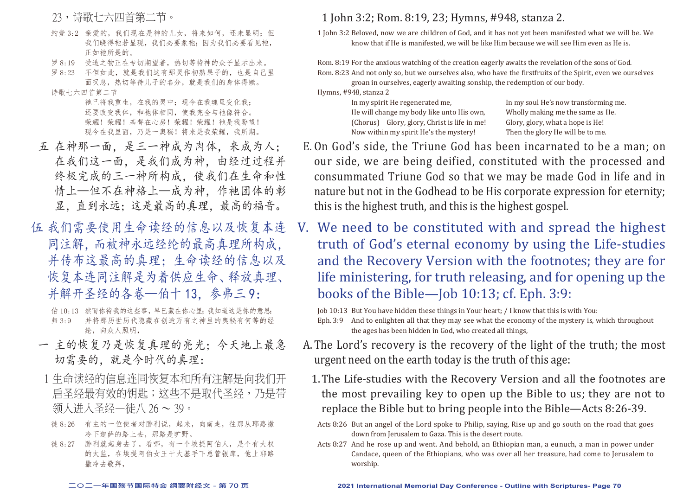23,诗歌七六四首第二节。

- 约壹 3:2 亲爱的, 我们现在是神的儿女, 将来如何, 还未显明; 但 我们晓得祂若显现,我们必要象祂;因为我们必要看见祂, 正如祂所是的。
- 罗 8:19 受造之物正在专切期望着,热切等待神的众子显示出来。
- 罗 8:23 不但如此,就是我们这有那灵作初熟果子的,也是自己里 面叹息,热切等待儿子的名分,就是我们的身体得赎。

诗歌七六四首第二节

 祂已将我重生,在我的灵中;现今在我魂里变化我; 还要改变我体,和祂体相同,使我完全与祂像符合。 荣耀!荣耀! 基督在心房! 荣耀! 荣耀! 祂是我盼望! 现今在我里面,乃是一奥秘!将来是我荣耀,我所期。

- 五 在神那一面,是三一神成为肉体,来成为人; 在我们这一面,是我们成为神,由经过过程并 终极完成的三一神所构成,使我们在生命和性 情上—但不在神格上—成为神,作祂团体的彰 显,直到永远;这是最高的真理,最高的福音。
- 伍 我们需要使用生命读经的信息以及恢复本连 同注解,而被神永远经纶的最高真理所构成, 并传布这最高的真理;生命读经的信息以及 恢复本连同注解是为着供应生命、释放真理、 并解开圣经的各卷—伯十13. 参弗三 9:

伯 10:13 然而你待我的这些事,早已藏在你心里;我知道这是你的意思: 弗 3:9 并将那历世历代隐藏在创造万有之神里的奥秘有何等的经 纶,向众人照明,

- 一 主的恢复乃是恢复真理的亮光;今天地上最急 切需要的,就是今时代的真理:
- 1 生命读经的信息连同恢复本和所有注解是向我们开 启圣经最有效的钥匙;这些不是取代圣经,乃是带 领人进入圣经—徒八 26 ~ 39。
- 徒 8:26 有主的一位使者对腓利说,起来,向南走,往那从耶路撒 冷下迦萨的路上去,那路是旷野。
- 徒 8:27 腓利就起身去了。看哪,有一个埃提阿伯人,是个有大权 的太监,在埃提阿伯女王干大基手下总管银库,他上耶路 撒冷去敬拜,

### 1 John 3:2; Rom. 8:19, 23; Hymns, #948, stanza 2.

1 John 3:2 Beloved, now we are children of God, and it has not yet been manifested what we will be. We know that if He is manifested, we will be like Him because we will see Him even as He is.

Rom. 8:19 For the anxious watching of the creation eagerly awaits the revelation of the sons of God. Rom. 8:23 And not only so, but we ourselves also, who have the firstfruits of the Spirit, even we ourselves groan in ourselves, eagerly awaiting sonship, the redemption of our body.

Hymns, #948, stanza 2 He will change my body like unto His own, Wholly making me the same as (Chorus) Glory, glory, Christ is life in me! Glory, glory, what a hope is He! (Chorus) Glory, glory, Christ is life in me! Glory, glory, what a hope is He! Now within my spirit He's the mystery! Then the glory He will be to me. Now within my spirit He's the mystery!

In my soul He's now transforming me.<br>Wholly making me the same as He.

- E. On God's side, the Triune God has been incarnated to be a man; on our side, we are being deified, constituted with the processed and consummated Triune God so that we may be made God in life and in nature but not in the Godhead to be His corporate expression for eternity; this is the highest truth, and this is the highest gospel.
- V. We need to be constituted with and spread the highest truth of God's eternal economy by using the Life-studies and the Recovery Version with the footnotes; they are for life ministering, for truth releasing, and for opening up the books of the Bible—Job 10:13; cf. Eph. 3:9:

Job 10:13 But You have hidden these things in Your heart; / I know that this is with You:

Eph. 3:9 And to enlighten all that they may see what the economy of the mystery is, which throughout the ages has been hidden in God, who created all things,

- A.The Lord's recovery is the recovery of the light of the truth; the most urgent need on the earth today is the truth of this age:
	- 1.The Life-studies with the Recovery Version and all the footnotes are the most prevailing key to open up the Bible to us; they are not to replace the Bible but to bring people into the Bible—Acts 8:26-39.
	- Acts 8:26 But an angel of the Lord spoke to Philip, saying, Rise up and go south on the road that goes down from Jerusalem to Gaza. This is the desert route.
	- Acts 8:27 And he rose up and went. And behold, an Ethiopian man, a eunuch, a man in power under Candace, queen of the Ethiopians, who was over all her treasure, had come to Jerusalem to worship.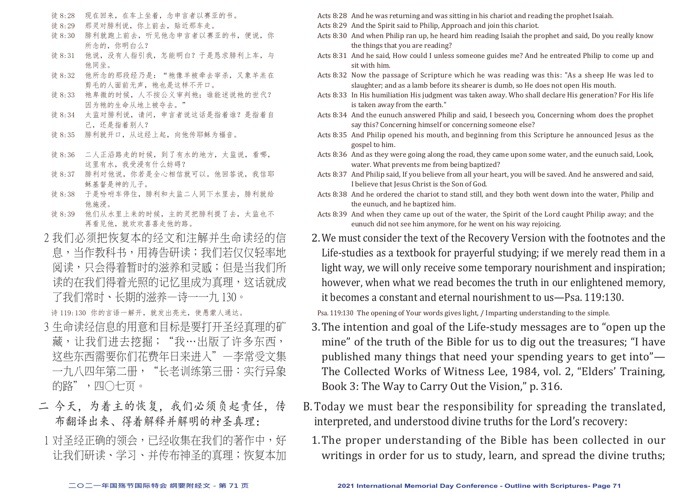- 徒 8:28 现在回来,在车上坐着,念申言者以赛亚的书。
- 徒 8:29 那灵对腓利说,你上前去,贴近那车走。
- 徒 8:30 腓利就跑上前去,听见他念申言者以赛亚的书,便说,你 所念的,你明白么?
- 徒 8:31 他说,没有人指引我,怎能明白?于是恳求腓利上车,与 他同坐。
- 徒 8:32 他所念的那段经乃是: "祂像羊被牵去宰杀, 又象羊羔在 剪手的人面前无声, 祂也是这样不开口。
- 徒 8:33 祂卑微的时候, 人不按公义审判祂; 谁能述说祂的世代? 因为祂的生命从地上被夺去。
- 徒 8:34 太监对腓利说,请问,申言者说这话是指着谁?是指着自 己,还是指着别人?
- 徒 8:35 腓利就开口,从这经上起,向他传耶稣为福音。
- 徒 8:36 二人正沿路走的时候,到了有水的地方,太监说,看哪, 这里有水,我受浸有什么妨碍?
- 徒 8:37 腓利对他说,你若是全心相信就可以。他回答说,我信耶 稣基督是神的儿子。
- 徒 8:38 于是吩咐车停住,腓利和太监二人同下水里去,腓利就给 他施浸。
- 徒 8:39 他们从水里上来的时候,主的灵把腓利提了去,太监也不 再看见他,就欢欢喜喜走他的路。
- 2 我们必须把恢复本的经文和注解并生命读经的信 息,当作教科书,用祷告研读;我们若仅仅轻率地 阅读,只会得着暂时的滋养和灵感;但是当我们所 读的在我们得着光照的记忆里成为真理,这话就成 了我们常时、长期的滋养—诗一一九 130。

诗 119:130 你的言语一解开,就发出亮光,使愚蒙人通达。

- 3 生命读经信息的用意和目标是要打开圣经真理的矿 藏,让我们进去挖掘;"我…出版了许多东西, 这些东西需要你们花费年日来进入"—李常受文集 一九八四年第二册,"长老训练第三册:实行异象 的路",四〇十页。
- 二 今天,为着主的恢复,我们必须负起责任,传 布翻译出来、得着解释并解明的神圣真理:
- 1 对圣经正确的领会,已经收集在我们的著作中,好 让我们研读、学习、并传布神圣的真理;恢复本加
- Acts 8:28 And he was returning and was sitting in his chariot and reading the prophet Isaiah.
- Acts 8:29 And the Spirit said to Philip, Approach and join this chariot.
- Acts 8:30 And when Philip ran up, he heard him reading Isaiah the prophet and said, Do you really know the things that you are reading?
- Acts 8:31 And he said, How could I unless someone guides me? And he entreated Philip to come up and sit with him.
- Acts 8:32 Now the passage of Scripture which he was reading was this: "As a sheep He was led to slaughter; and as a lamb before its shearer is dumb, so He does not open His mouth.
- Acts 8:33 In His humiliation His judgment was taken away. Who shall declare His generation? For His life is taken away from the earth."
- Acts 8:34 And the eunuch answered Philip and said, I beseech you, Concerning whom does the prophet say this? Concerning himself or concerning someone else?
- Acts 8:35 And Philip opened his mouth, and beginning from this Scripture he announced Jesus as the gospel to him.
- Acts 8:36 And as they were going along the road, they came upon some water, and the eunuch said, Look, water. What prevents me from being baptized?
- Acts 8:37 And Philip said, If you believe from all your heart, you will be saved. And he answered and said, I believe that Jesus Christ is the Son of God.
- Acts 8:38 And he ordered the chariot to stand still, and they both went down into the water, Philip and the eunuch, and he baptized him.
- Acts 8:39 And when they came up out of the water, the Spirit of the Lord caught Philip away; and the eunuch did not see him anymore, for he went on his way rejoicing.
- 2.We must consider the text of the Recovery Version with the footnotes and the Life-studies as a textbook for prayerful studying; if we merely read them in a light way, we will only receive some temporary nourishment and inspiration; however, when what we read becomes the truth in our enlightened memory, it becomes a constant and eternal nourishment to us—Psa. 119:130.

Psa. 119:130 The opening of Your words gives light, / Imparting understanding to the simple.

- 3.The intention and goal of the Life-study messages are to "open up the mine" of the truth of the Bible for us to dig out the treasures; "I have published many things that need your spending years to get into"— The Collected Works of Witness Lee, 1984, vol. 2, "Elders' Training, Book 3: The Way to Carry Out the Vision," p. 316.
- B.Today we must bear the responsibility for spreading the translated, interpreted, and understood divine truths for the Lord's recovery:
	- 1.The proper understanding of the Bible has been collected in our writings in order for us to study, learn, and spread the divine truths;